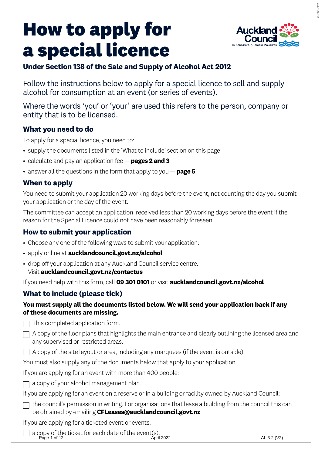# **How to apply for a special licence**



22-PRO-0152 22-PRO-0152

# **Under Section 138 of the Sale and Supply of Alcohol Act 2012**

Follow the instructions below to apply for a special licence to sell and supply alcohol for consumption at an event (or series of events).

Where the words 'you' or 'your' are used this refers to the person, company or entity that is to be licensed.

## **What you need to do**

To apply for a special licence, you need to:

- supply the documents listed in the 'What to include' section on this page
- calculate and pay an application fee **[pages 2](#page-1-0) [and 3](#page-2-0)**
- answer all the questions in the form that apply to you **[page 5](#page-4-0)**.

## **When to apply**

You need to submit your application 20 working days before the event, not counting the day you submit your application or the day of the event.

The committee can accept an application received less than 20 working days before the event if the reason for the Special Licence could not have been reasonably foreseen.

## **How to submit your application**

- Choose any one of the following ways to submit your application:
- apply online at **[aucklandcouncil.govt.nz/alcohol](http://aucklandcouncil.govt.nz/alcohol)**
- drop off your application at any Auckland Council service centre.

Visit **[aucklandcouncil.govt.nz/contactus](http://aucklandcouncil.govt.nz/contactus)**

If you need help with this form, call **09 301 0101** or visit **[aucklandcouncil.govt.nz/alcohol](http://aucklandcouncil.govt.nz/alcohol)**

## **What to include (please tick)**

## **You must supply all the documents listed below. We will send your application back if any of these documents are missing.**

This completed application form.

 $\sqrt{2}$ 

| $\top$ A copy of the floor plans that highlights the main entrance and clearly outlining the licensed area and |  |
|----------------------------------------------------------------------------------------------------------------|--|
| any supervised or restricted areas.                                                                            |  |

 $\Box$  A copy of the site layout or area, including any marquees (if the event is outside).

You must also supply any of the documents below that apply to your application.

If you are applying for an event with more than 400 people:

 $\Box$  a copy of your alcohol management plan.

If you are applying for an event on a reserve or in a building or facility owned by Auckland Council:

 $\sqsupset$  the council's permission in writing. For organisations that lease a building from the council this can be obtained by emailing **[CFLeases@aucklandcouncil.govt.nz](mailto:CFLeases%40aucklandcouncil.govt.nz?subject=)**

If you are applying for a ticketed event or events:

a copy of the ticket for each date of the event(s).<br>Page 1 of 12 AL 3.2 (V2) April 2022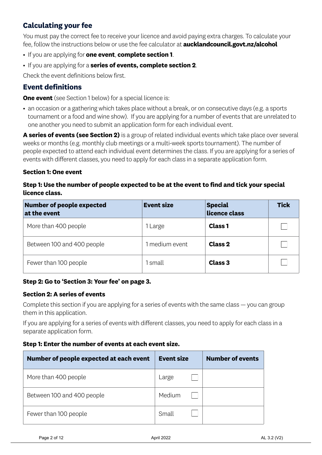## <span id="page-1-0"></span>**Calculating your fee**

You must pay the correct fee to receive your licence and avoid paying extra charges. To calculate your fee, follow the instructions below or use the fee calculator at **[aucklandcouncil.govt.nz/alcohol](http://aucklandcouncil.govt.nz/alcohol)**

- If you are applying for **one event**, **complete section 1**.
- If you are applying for a **series of events, complete section 2**.

Check the event definitions below first.

## **Event definitions**

**One event** (see Section 1 below) for a special licence is:

• an occasion or a gathering which takes place without a break, or on consecutive days (e.g. a sports tournament or a food and wine show). If you are applying for a number of events that are unrelated to one another you need to submit an application form for each individual event.

**A series of events (see Section 2)** is a group of related individual events which take place over several weeks or months (e.g. monthly club meetings or a multi-week sports tournament). The number of people expected to attend each individual event determines the class. If you are applying for a series of events with different classes, you need to apply for each class in a separate application form.

## **Section 1: One event**

## **Step 1: Use the number of people expected to be at the event to find and tick your special licence class.**

| <b>Number of people expected</b><br>at the event | <b>Event size</b> | <b>Special</b><br>licence class | <b>Tick</b> |
|--------------------------------------------------|-------------------|---------------------------------|-------------|
| More than 400 people                             | 1 Large           | <b>Class 1</b>                  |             |
| Between 100 and 400 people                       | medium event      | <b>Class 2</b>                  |             |
| Fewer than 100 people                            | I small           | <b>Class 3</b>                  |             |

## **Step 2: Go to 'Section 3: Your fee' on page 3.**

#### **Section 2: A series of events**

Complete this section if you are applying for a series of events with the same class — you can group them in this application.

If you are applying for a series of events with different classes, you need to apply for each class in a separate application form.

## **Step 1: Enter the number of events at each event size.**

| Number of people expected at each event | <b>Event size</b> | <b>Number of events</b> |
|-----------------------------------------|-------------------|-------------------------|
| More than 400 people                    | Large             |                         |
| Between 100 and 400 people              | Medium            |                         |
| Fewer than 100 people                   | Small             |                         |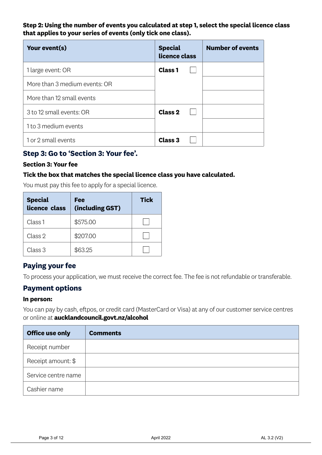#### <span id="page-2-0"></span>**Step 2: Using the number of events you calculated at step 1, select the special licence class that applies to your series of events (only tick one class).**

| Your event(s)                 | <b>Special</b><br>licence class | <b>Number of events</b> |
|-------------------------------|---------------------------------|-------------------------|
| 1 large event: OR             | <b>Class 1</b>                  |                         |
| More than 3 medium events: OR |                                 |                         |
| More than 12 small events     |                                 |                         |
| 3 to 12 small events: OR      | <b>Class 2</b>                  |                         |
| 1 to 3 medium events          |                                 |                         |
| 1 or 2 small events           | Class 3                         |                         |

## **Step 3: Go to 'Section 3: Your fee'.**

## **Section 3: Your fee**

## **Tick the box that matches the special licence class you have calculated.**

You must pay this fee to apply for a special licence.

| <b>Special</b><br>licence class | Fee<br>(including GST) | <b>Tick</b> |
|---------------------------------|------------------------|-------------|
| Class <sub>1</sub>              | \$575.00               |             |
| Class 2                         | \$207.00               |             |
| Class 3                         | \$63.25                |             |

## **Paying your fee**

To process your application, we must receive the correct fee. The fee is not refundable or transferable.

## **Payment options**

#### **In person:**

You can pay by cash, eftpos, or credit card (MasterCard or Visa) at any of our customer service centres or online at **[aucklandcouncil.govt.nz/alcohol](http://aucklandcouncil.govt.nz/alcohol)**

| <b>Office use only</b> | <b>Comments</b> |
|------------------------|-----------------|
| Receipt number         |                 |
| Receipt amount: \$     |                 |
| Service centre name    |                 |
| Cashier name           |                 |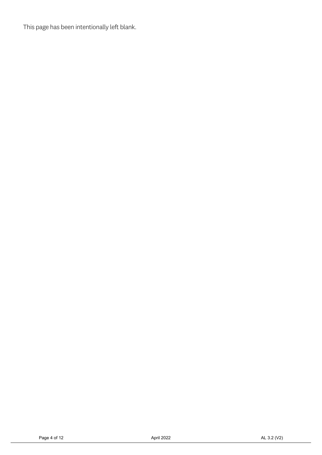This page has been intentionally left blank.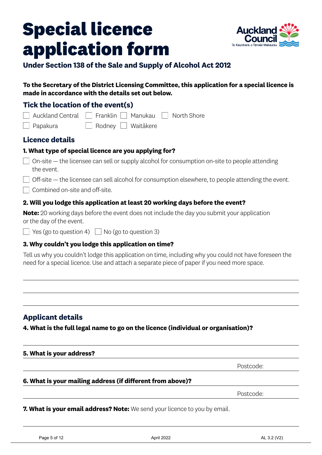# <span id="page-4-0"></span>**Special licence application form**



# **Under Section 138 of the Sale and Supply of Alcohol Act 2012**

**To the Secretary of the District Licensing Committee, this application for a special licence is made in accordance with the details set out below.**

## **Tick the location of the event(s)**

| $\Box$ Auckland Central $\Box$ Franklin $\Box$ Manukau $\Box$ North Shore |  |  |
|---------------------------------------------------------------------------|--|--|
|                                                                           |  |  |

| Papakura | Rodney | Waitākere |
|----------|--------|-----------|
|          |        |           |

## **Licence details**

## **1. What type of special licence are you applying for?**

- $\vert$   $\vert$  On-site the licensee can sell or supply alcohol for consumption on-site to people attending the event.
- $\Box$  Off-site  $-$  the licensee can sell alcohol for consumption elsewhere, to people attending the event.
- $\Box$  Combined on-site and off-site.

## **2. Will you lodge this application at least 20 working days before the event?**

**Note:** 20 working days before the event does not include the day you submit your application or the day of the event.

 $\Box$  Yes (go to question 4)  $\Box$  No (go to question 3)

## **3. Why couldn't you lodge this application on time?**

Tell us why you couldn't lodge this application on time, including why you could not have foreseen the need for a special licence. Use and attach a separate piece of paper if you need more space.

## **Applicant details**

**4. What is the full legal name to go on the licence (individual or organisation)?**

**5. What is your address?**

Postcode:

#### **6. What is your mailing address (if different from above)?**

Postcode:

**7. What is your email address? Note:** We send your licence to you by email.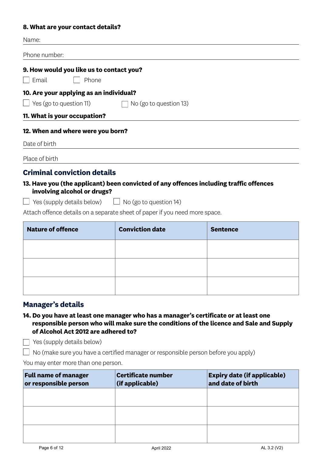#### **8. What are your contact details?**

| Name:                                                                                  |
|----------------------------------------------------------------------------------------|
| Phone number:                                                                          |
| 9. How would you like us to contact you?                                               |
| Email<br>Phone                                                                         |
| 10. Are your applying as an individual?                                                |
| $\Box$ Yes (go to question 11)<br>No (go to question 13)<br>$\perp$                    |
| 11. What is your occupation?                                                           |
| 12. When and where were you born?                                                      |
| Date of birth                                                                          |
| Place of birth                                                                         |
| <b>Criminal conviction details</b>                                                     |
| 13. Have you (the applicant) been convicted of any offences including traffic offences |

**involving alcohol or drugs?**

 $\Box$  Yes (supply details below)  $\Box$  No (go to question 14)

Attach offence details on a separate sheet of paper if you need more space.

| <b>Nature of offence</b> | <b>Conviction date</b> | <b>Sentence</b> |
|--------------------------|------------------------|-----------------|
|                          |                        |                 |
|                          |                        |                 |
|                          |                        |                 |

## **Manager's details**

**14. Do you have at least one manager who has a manager's certificate or at least one responsible person who will make sure the conditions of the licence and Sale and Supply of Alcohol Act 2012 are adhered to?**

 $\Box$  Yes (supply details below)

 $\Box$  No (make sure you have a certified manager or responsible person before you apply)

You may enter more than one person.

| <b>Full name of manager</b><br>or responsible person | <b>Certificate number</b><br>(if applicable) | <b>Expiry date (if applicable)</b><br>and date of birth |
|------------------------------------------------------|----------------------------------------------|---------------------------------------------------------|
|                                                      |                                              |                                                         |
|                                                      |                                              |                                                         |
|                                                      |                                              |                                                         |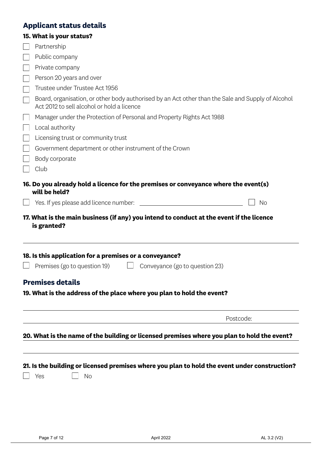## **Applicant status details**

| 15. What is your status?                                                                                                                        |           |
|-------------------------------------------------------------------------------------------------------------------------------------------------|-----------|
| Partnership                                                                                                                                     |           |
| Public company                                                                                                                                  |           |
| Private company                                                                                                                                 |           |
| Person 20 years and over                                                                                                                        |           |
| Trustee under Trustee Act 1956                                                                                                                  |           |
| Board, organisation, or other body authorised by an Act other than the Sale and Supply of Alcohol<br>Act 2012 to sell alcohol or hold a licence |           |
| Manager under the Protection of Personal and Property Rights Act 1988                                                                           |           |
| Local authority                                                                                                                                 |           |
| Licensing trust or community trust                                                                                                              |           |
| Government department or other instrument of the Crown                                                                                          |           |
| Body corporate                                                                                                                                  |           |
| Club                                                                                                                                            |           |
| will be held?<br>17. What is the main business (if any) you intend to conduct at the event if the licence<br>is granted?                        | <b>No</b> |
| 18. Is this application for a premises or a conveyance?<br>Premises (go to question 19)<br>Conveyance (go to question 23)                       |           |
|                                                                                                                                                 |           |
| <b>Premises details</b><br>19. What is the address of the place where you plan to hold the event?                                               |           |
| Postcode:                                                                                                                                       |           |
| 20. What is the name of the building or licensed premises where you plan to hold the event?                                                     |           |
| 21. Is the building or licensed premises where you plan to hold the event under construction?<br><b>No</b><br>Yes                               |           |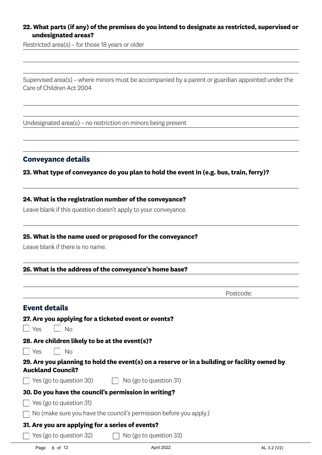#### **22. What parts (if any) of the premises do you intend to designate as restricted, supervised or undesignated areas?**

Restricted area(s) – for those 18 years or older

Supervised area(s) – where minors must be accompanied by a parent or guardian appointed under the Care of Children Act 2004

Undesignated area(s) – no restriction on minors being present

## **Conveyance details**

**23. What type of conveyance do you plan to hold the event in (e.g. bus, train, ferry)?**

#### **24. What is the registration number of the conveyance?**

Leave blank if this question doesn't apply to your conveyance.

#### **25. What is the name used or proposed for the conveyance?**

Leave blank if there is no name.

#### **26. What is the address of the conveyance's home base?**

Postcode:

## **Event details**

**27. Are you applying for a ticketed event or events?**

| $\sqrt{\circ}$ |  | Νc |
|----------------|--|----|
|----------------|--|----|

#### **28. Are children likely to be at the event(s)?**

 $\Box$  Yes  $\Box$  No

## **29. Are you planning to hold the event(s) on a reserve or in a building or facility owned by Auckland Council?**

 $\Box$  Yes (go to question 30)  $\Box$  No (go to question 31)

## **30. Do you have the council's permission in writing?**

 $\Box$  Yes (go to question 31)

 $\Box$  No (make sure you have the council's permission before you apply.)

## **31. Are you are applying for a series of events?**

 $\Box$  Yes (go to question 32)  $\Box$  No (go to question 33)

Page 8 of 12 April 2022 April 2022 April 2022 AL 3.2 (V2)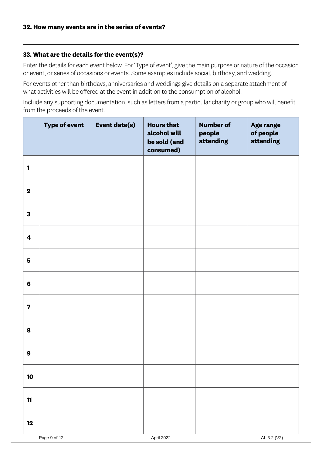## **33. What are the details for the event(s)?**

Enter the details for each event below. For 'Type of event', give the main purpose or nature of the occasion or event, or series of occasions or events. Some examples include social, birthday, and wedding.

For events other than birthdays, anniversaries and weddings give details on a separate attachment of what activities will be offered at the event in addition to the consumption of alcohol.

Include any supporting documentation, such as letters from a particular charity or group who will benefit from the proceeds of the event.

|                         | <b>Type of event</b> | <b>Event date(s)</b> | <b>Hours that</b><br>alcohol will<br>be sold (and<br>consumed) | <b>Number of</b><br>people<br>attending | <b>Age range</b><br>of people<br>attending |
|-------------------------|----------------------|----------------------|----------------------------------------------------------------|-----------------------------------------|--------------------------------------------|
| $\mathbf{1}$            |                      |                      |                                                                |                                         |                                            |
| $\mathbf 2$             |                      |                      |                                                                |                                         |                                            |
| $\mathbf{3}$            |                      |                      |                                                                |                                         |                                            |
| $\overline{\mathbf{4}}$ |                      |                      |                                                                |                                         |                                            |
| 5                       |                      |                      |                                                                |                                         |                                            |
| $6\phantom{a}$          |                      |                      |                                                                |                                         |                                            |
| $\overline{\mathbf{7}}$ |                      |                      |                                                                |                                         |                                            |
| 8                       |                      |                      |                                                                |                                         |                                            |
| $\boldsymbol{9}$        |                      |                      |                                                                |                                         |                                            |
| 10                      |                      |                      |                                                                |                                         |                                            |
| 11                      |                      |                      |                                                                |                                         |                                            |
| 12                      |                      |                      |                                                                |                                         |                                            |
|                         | Page 9 of 12         |                      | April 2022                                                     |                                         | AL 3.2 (V2)                                |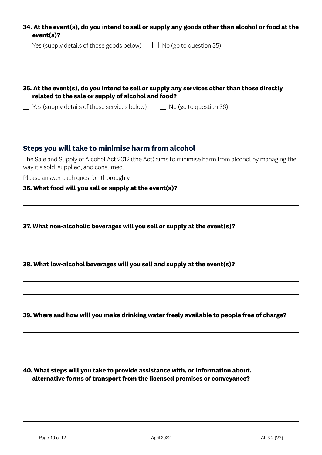| 34. At the event(s), do you intend to sell or supply any goods other than alcohol or food at the<br>$event(s)$ ?                                  |                               |  |  |
|---------------------------------------------------------------------------------------------------------------------------------------------------|-------------------------------|--|--|
| Yes (supply details of those goods below)                                                                                                         | No (go to question 35)        |  |  |
| 35. At the event(s), do you intend to sell or supply any services other than those directly<br>related to the sale or supply of alcohol and food? |                               |  |  |
| Yes (supply details of those services below)                                                                                                      | $\Box$ No (go to question 36) |  |  |
| Steps you will take to minimise harm from alcohol                                                                                                 |                               |  |  |
| The Sale and Supply of Alcohol Act 2012 (the Act) aims to minimise harm from alcohol by managing the<br>way it's sold, supplied, and consumed.    |                               |  |  |
| Please answer each question thoroughly.<br>36. What food will you sell or supply at the event(s)?                                                 |                               |  |  |
|                                                                                                                                                   |                               |  |  |
|                                                                                                                                                   |                               |  |  |
| 37. What non-alcoholic beverages will you sell or supply at the event(s)?                                                                         |                               |  |  |
|                                                                                                                                                   |                               |  |  |
|                                                                                                                                                   |                               |  |  |
| 38. What low-alcohol beverages will you sell and supply at the event(s)?                                                                          |                               |  |  |
|                                                                                                                                                   |                               |  |  |
|                                                                                                                                                   |                               |  |  |
|                                                                                                                                                   |                               |  |  |
| 39. Where and how will you make drinking water freely available to people free of charge?                                                         |                               |  |  |
|                                                                                                                                                   |                               |  |  |
|                                                                                                                                                   |                               |  |  |
|                                                                                                                                                   |                               |  |  |
| 40. What steps will you take to provide assistance with, or information about,                                                                    |                               |  |  |
| alternative forms of transport from the licensed premises or conveyance?                                                                          |                               |  |  |
|                                                                                                                                                   |                               |  |  |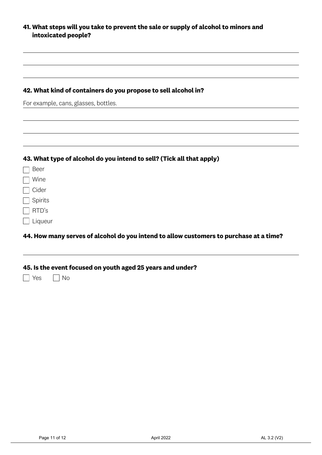| intoxicated people?                  | 41. What steps will you take to prevent the sale or supply of alcohol to minors and    |
|--------------------------------------|----------------------------------------------------------------------------------------|
|                                      |                                                                                        |
|                                      |                                                                                        |
|                                      |                                                                                        |
|                                      | 42. What kind of containers do you propose to sell alcohol in?                         |
| For example, cans, glasses, bottles. |                                                                                        |
|                                      |                                                                                        |
|                                      |                                                                                        |
|                                      |                                                                                        |
|                                      |                                                                                        |
|                                      | 43. What type of alcohol do you intend to sell? (Tick all that apply)                  |
| <b>Beer</b>                          |                                                                                        |
| Wine                                 |                                                                                        |
| Cider                                |                                                                                        |
| Spirits                              |                                                                                        |
| RTD's                                |                                                                                        |
| Liqueur                              |                                                                                        |
|                                      |                                                                                        |
|                                      |                                                                                        |
|                                      | 44. How many serves of alcohol do you intend to allow customers to purchase at a time? |
|                                      |                                                                                        |
|                                      | 45. Is the event focused on youth aged 25 years and under?                             |